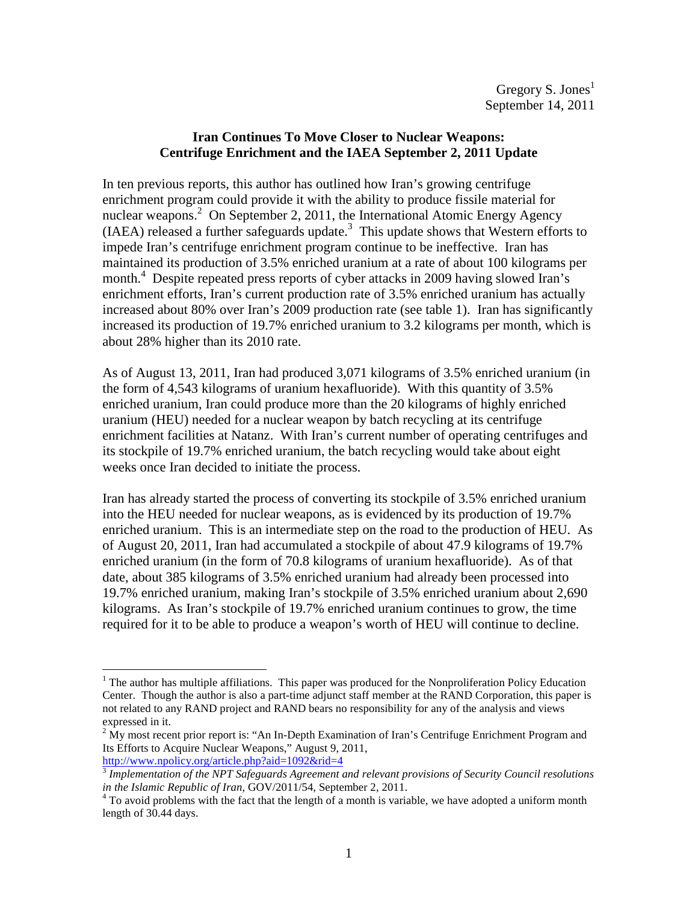## **Iran Continues To Move Closer to Nuclear Weapons: Centrifuge Enrichment and the IAEA September 2, 2011 Update**

In ten previous reports, this author has outlined how Iran's growing centrifuge enrichment program could provide it with the ability to produce fissile material for nuclear weapons.<sup>2</sup> On September 2, 2011, the International Atomic Energy Agency (IAEA) released a further safeguards update.<sup>3</sup> This update shows that Western efforts to impede Iran's centrifuge enrichment program continue to be ineffective. Iran has maintained its production of 3.5% enriched uranium at a rate of about 100 kilograms per month.<sup>4</sup> Despite repeated press reports of cyber attacks in 2009 having slowed Iran's enrichment efforts, Iran's current production rate of 3.5% enriched uranium has actually increased about 80% over Iran's 2009 production rate (see table 1). Iran has significantly increased its production of 19.7% enriched uranium to 3.2 kilograms per month, which is about 28% higher than its 2010 rate.

As of August 13, 2011, Iran had produced 3,071 kilograms of 3.5% enriched uranium (in the form of 4,543 kilograms of uranium hexafluoride). With this quantity of 3.5% enriched uranium, Iran could produce more than the 20 kilograms of highly enriched uranium (HEU) needed for a nuclear weapon by batch recycling at its centrifuge enrichment facilities at Natanz. With Iran's current number of operating centrifuges and its stockpile of 19.7% enriched uranium, the batch recycling would take about eight weeks once Iran decided to initiate the process.

Iran has already started the process of converting its stockpile of 3.5% enriched uranium into the HEU needed for nuclear weapons, as is evidenced by its production of 19.7% enriched uranium. This is an intermediate step on the road to the production of HEU. As of August 20, 2011, Iran had accumulated a stockpile of about 47.9 kilograms of 19.7% enriched uranium (in the form of 70.8 kilograms of uranium hexafluoride). As of that date, about 385 kilograms of 3.5% enriched uranium had already been processed into 19.7% enriched uranium, making Iran's stockpile of 3.5% enriched uranium about 2,690 kilograms. As Iran's stockpile of 19.7% enriched uranium continues to grow, the time required for it to be able to produce a weapon's worth of HEU will continue to decline.

 $<sup>1</sup>$  The author has multiple affiliations. This paper was produced for the Nonproliferation Policy Education</sup> Center. Though the author is also a part-time adjunct staff member at the RAND Corporation, this paper is not related to any RAND project and RAND bears no responsibility for any of the analysis and views expressed in it.

 $2 \text{ My most recent prior report is: "An In-Depth Examination of Iran's Centrifuge Enrichment Program and }$ Its Efforts to Acquire Nuclear Weapons," August 9, 2011, http://www.npolicy.org/article.php?aid=1092&rid=4

<sup>3</sup> *Implementation of the NPT Safeguards Agreement and relevant provisions of Security Council resolutions in the Islamic Republic of Iran*, GOV/2011/54, September 2, 2011.

 $4$  To avoid problems with the fact that the length of a month is variable, we have adopted a uniform month length of 30.44 days.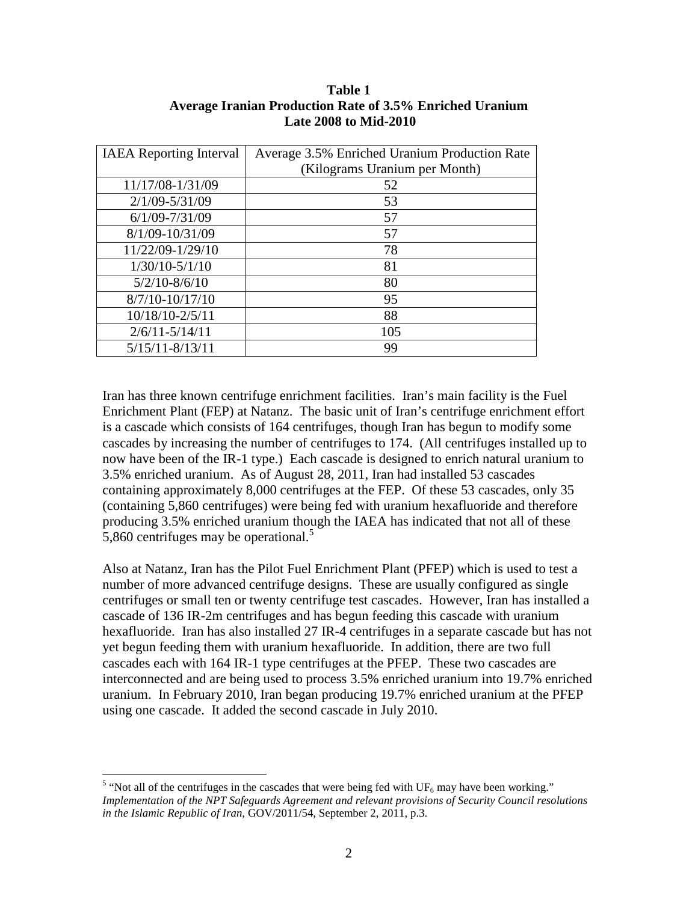## **Table 1 Average Iranian Production Rate of 3.5% Enriched Uranium Late 2008 to Mid-2010**

| <b>IAEA</b> Reporting Interval | Average 3.5% Enriched Uranium Production Rate |  |  |
|--------------------------------|-----------------------------------------------|--|--|
|                                | (Kilograms Uranium per Month)                 |  |  |
| 11/17/08-1/31/09               | 52                                            |  |  |
| $2/1/09 - 5/31/09$             | 53                                            |  |  |
| $6/1/09 - 7/31/09$             | 57                                            |  |  |
| 8/1/09-10/31/09                | 57                                            |  |  |
| 11/22/09-1/29/10               | 78                                            |  |  |
| $1/30/10 - 5/1/10$             | 81                                            |  |  |
| $5/2/10 - 8/6/10$              | 80                                            |  |  |
| 8/7/10-10/17/10                | 95                                            |  |  |
| 10/18/10-2/5/11                | 88                                            |  |  |
| $2/6/11 - 5/14/11$             | 105                                           |  |  |
| $5/15/11 - 8/13/11$            | 99                                            |  |  |

Iran has three known centrifuge enrichment facilities. Iran's main facility is the Fuel Enrichment Plant (FEP) at Natanz. The basic unit of Iran's centrifuge enrichment effort is a cascade which consists of 164 centrifuges, though Iran has begun to modify some cascades by increasing the number of centrifuges to 174. (All centrifuges installed up to now have been of the IR-1 type.) Each cascade is designed to enrich natural uranium to 3.5% enriched uranium. As of August 28, 2011, Iran had installed 53 cascades containing approximately 8,000 centrifuges at the FEP. Of these 53 cascades, only 35 (containing 5,860 centrifuges) were being fed with uranium hexafluoride and therefore producing 3.5% enriched uranium though the IAEA has indicated that not all of these 5,860 centrifuges may be operational.<sup>5</sup>

Also at Natanz, Iran has the Pilot Fuel Enrichment Plant (PFEP) which is used to test a number of more advanced centrifuge designs. These are usually configured as single centrifuges or small ten or twenty centrifuge test cascades. However, Iran has installed a cascade of 136 IR-2m centrifuges and has begun feeding this cascade with uranium hexafluoride. Iran has also installed 27 IR-4 centrifuges in a separate cascade but has not yet begun feeding them with uranium hexafluoride. In addition, there are two full cascades each with 164 IR-1 type centrifuges at the PFEP. These two cascades are interconnected and are being used to process 3.5% enriched uranium into 19.7% enriched uranium. In February 2010, Iran began producing 19.7% enriched uranium at the PFEP using one cascade. It added the second cascade in July 2010.

 $\frac{5}{100}$  "Not all of the centrifuges in the cascades that were being fed with UF<sub>6</sub> may have been working." *Implementation of the NPT Safeguards Agreement and relevant provisions of Security Council resolutions in the Islamic Republic of Iran*, GOV/2011/54, September 2, 2011, p.3.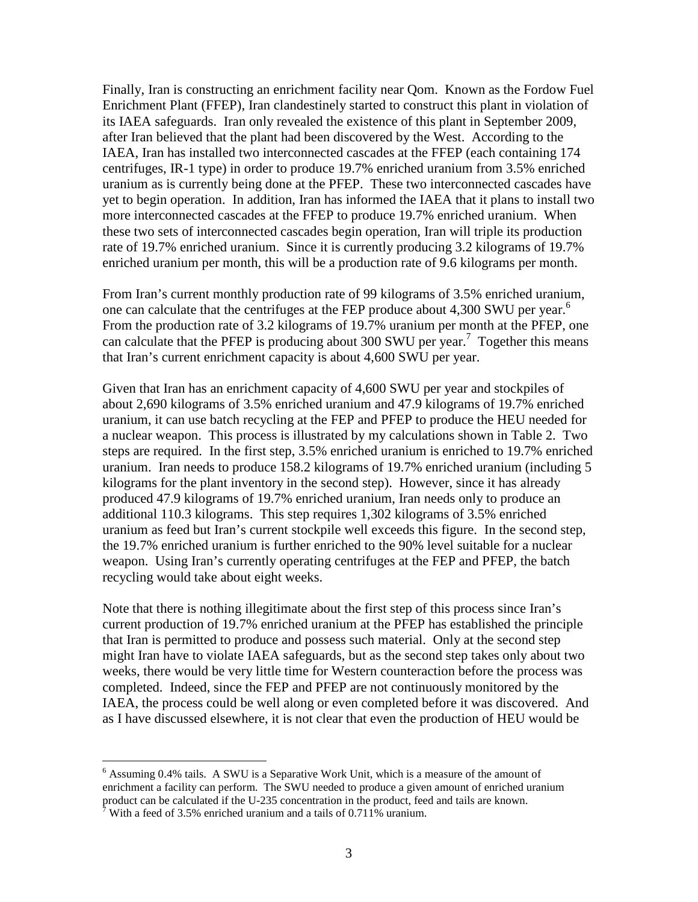Finally, Iran is constructing an enrichment facility near Qom. Known as the Fordow Fuel Enrichment Plant (FFEP), Iran clandestinely started to construct this plant in violation of its IAEA safeguards. Iran only revealed the existence of this plant in September 2009, after Iran believed that the plant had been discovered by the West. According to the IAEA, Iran has installed two interconnected cascades at the FFEP (each containing 174 centrifuges, IR-1 type) in order to produce 19.7% enriched uranium from 3.5% enriched uranium as is currently being done at the PFEP. These two interconnected cascades have yet to begin operation. In addition, Iran has informed the IAEA that it plans to install two more interconnected cascades at the FFEP to produce 19.7% enriched uranium. When these two sets of interconnected cascades begin operation, Iran will triple its production rate of 19.7% enriched uranium. Since it is currently producing 3.2 kilograms of 19.7% enriched uranium per month, this will be a production rate of 9.6 kilograms per month.

From Iran's current monthly production rate of 99 kilograms of 3.5% enriched uranium, one can calculate that the centrifuges at the FEP produce about 4,300 SWU per year.<sup>6</sup> From the production rate of 3.2 kilograms of 19.7% uranium per month at the PFEP, one can calculate that the PFEP is producing about 300 SWU per year.<sup>7</sup> Together this means that Iran's current enrichment capacity is about 4,600 SWU per year.

Given that Iran has an enrichment capacity of 4,600 SWU per year and stockpiles of about 2,690 kilograms of 3.5% enriched uranium and 47.9 kilograms of 19.7% enriched uranium, it can use batch recycling at the FEP and PFEP to produce the HEU needed for a nuclear weapon. This process is illustrated by my calculations shown in Table 2. Two steps are required. In the first step, 3.5% enriched uranium is enriched to 19.7% enriched uranium. Iran needs to produce 158.2 kilograms of 19.7% enriched uranium (including 5 kilograms for the plant inventory in the second step). However, since it has already produced 47.9 kilograms of 19.7% enriched uranium, Iran needs only to produce an additional 110.3 kilograms. This step requires 1,302 kilograms of 3.5% enriched uranium as feed but Iran's current stockpile well exceeds this figure. In the second step, the 19.7% enriched uranium is further enriched to the 90% level suitable for a nuclear weapon. Using Iran's currently operating centrifuges at the FEP and PFEP, the batch recycling would take about eight weeks.

Note that there is nothing illegitimate about the first step of this process since Iran's current production of 19.7% enriched uranium at the PFEP has established the principle that Iran is permitted to produce and possess such material. Only at the second step might Iran have to violate IAEA safeguards, but as the second step takes only about two weeks, there would be very little time for Western counteraction before the process was completed. Indeed, since the FEP and PFEP are not continuously monitored by the IAEA, the process could be well along or even completed before it was discovered. And as I have discussed elsewhere, it is not clear that even the production of HEU would be

<u>.</u>

<sup>&</sup>lt;sup>6</sup> Assuming 0.4% tails. A SWU is a Separative Work Unit, which is a measure of the amount of enrichment a facility can perform. The SWU needed to produce a given amount of enriched uranium product can be calculated if the U-235 concentration in the product, feed and tails are known.<br><sup>7</sup> With a feed of 3.5% enriched uranium and a tails of 0.711% uranium.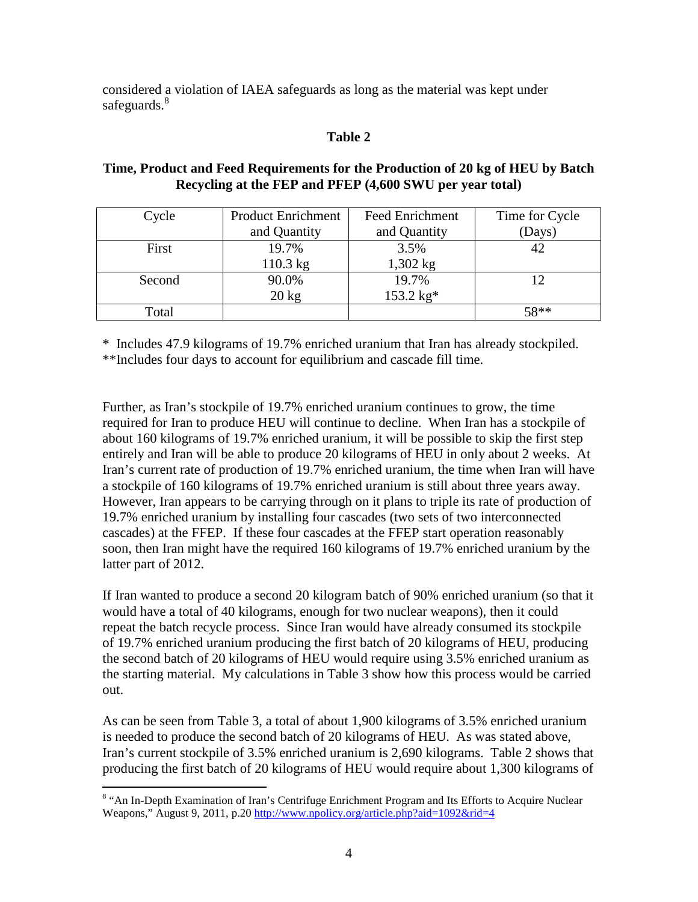considered a violation of IAEA safeguards as long as the material was kept under safeguards.<sup>8</sup>

# **Table 2**

## **Time, Product and Feed Requirements for the Production of 20 kg of HEU by Batch Recycling at the FEP and PFEP (4,600 SWU per year total)**

| Cycle  | <b>Product Enrichment</b> | <b>Feed Enrichment</b> | Time for Cycle |
|--------|---------------------------|------------------------|----------------|
|        | and Quantity              | and Quantity           | (Days)         |
| First  | 19.7%                     | 3.5%                   |                |
|        | $110.3$ kg                | $1,302$ kg             |                |
| Second | 90.0%                     | 19.7%                  |                |
|        | $20 \text{ kg}$           | 153.2 kg*              |                |
| Total  |                           |                        | $58**$         |

\* Includes 47.9 kilograms of 19.7% enriched uranium that Iran has already stockpiled. \*\*Includes four days to account for equilibrium and cascade fill time.

Further, as Iran's stockpile of 19.7% enriched uranium continues to grow, the time required for Iran to produce HEU will continue to decline. When Iran has a stockpile of about 160 kilograms of 19.7% enriched uranium, it will be possible to skip the first step entirely and Iran will be able to produce 20 kilograms of HEU in only about 2 weeks. At Iran's current rate of production of 19.7% enriched uranium, the time when Iran will have a stockpile of 160 kilograms of 19.7% enriched uranium is still about three years away. However, Iran appears to be carrying through on it plans to triple its rate of production of 19.7% enriched uranium by installing four cascades (two sets of two interconnected cascades) at the FFEP. If these four cascades at the FFEP start operation reasonably soon, then Iran might have the required 160 kilograms of 19.7% enriched uranium by the latter part of 2012.

If Iran wanted to produce a second 20 kilogram batch of 90% enriched uranium (so that it would have a total of 40 kilograms, enough for two nuclear weapons), then it could repeat the batch recycle process. Since Iran would have already consumed its stockpile of 19.7% enriched uranium producing the first batch of 20 kilograms of HEU, producing the second batch of 20 kilograms of HEU would require using 3.5% enriched uranium as the starting material. My calculations in Table 3 show how this process would be carried out.

As can be seen from Table 3, a total of about 1,900 kilograms of 3.5% enriched uranium is needed to produce the second batch of 20 kilograms of HEU. As was stated above, Iran's current stockpile of 3.5% enriched uranium is 2,690 kilograms. Table 2 shows that producing the first batch of 20 kilograms of HEU would require about 1,300 kilograms of

<sup>&</sup>lt;sup>8</sup> "An In-Depth Examination of Iran's Centrifuge Enrichment Program and Its Efforts to Acquire Nuclear Weapons," August 9, 2011, p.20 http://www.npolicy.org/article.php?aid=1092&rid=4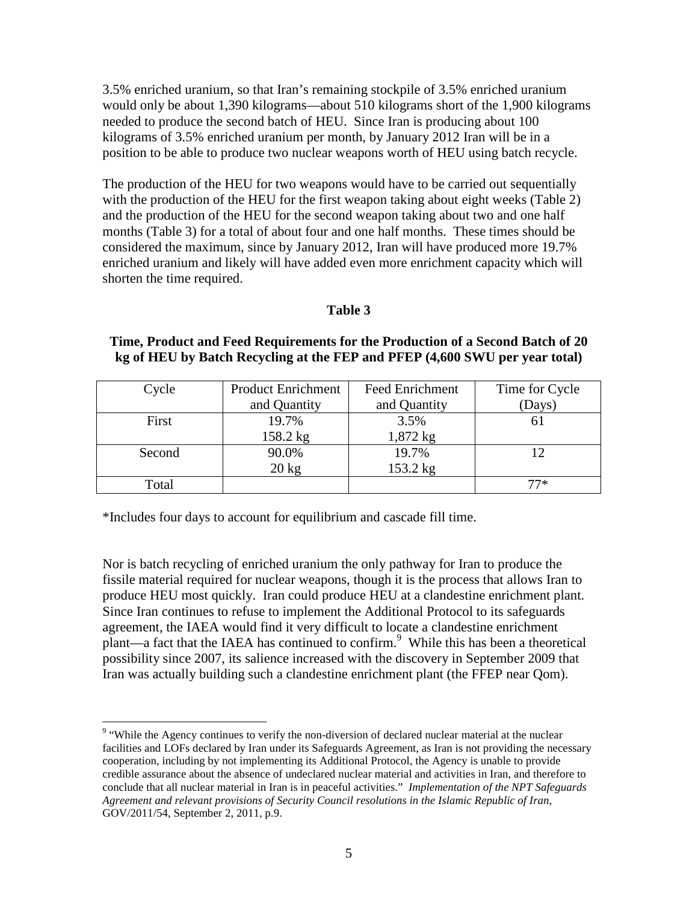3.5% enriched uranium, so that Iran's remaining stockpile of 3.5% enriched uranium would only be about 1,390 kilograms—about 510 kilograms short of the 1,900 kilograms needed to produce the second batch of HEU. Since Iran is producing about 100 kilograms of 3.5% enriched uranium per month, by January 2012 Iran will be in a position to be able to produce two nuclear weapons worth of HEU using batch recycle.

The production of the HEU for two weapons would have to be carried out sequentially with the production of the HEU for the first weapon taking about eight weeks (Table 2) and the production of the HEU for the second weapon taking about two and one half months (Table 3) for a total of about four and one half months. These times should be considered the maximum, since by January 2012, Iran will have produced more 19.7% enriched uranium and likely will have added even more enrichment capacity which will shorten the time required.

## **Table 3**

## **Time, Product and Feed Requirements for the Production of a Second Batch of 20 kg of HEU by Batch Recycling at the FEP and PFEP (4,600 SWU per year total)**

| Cycle  | <b>Product Enrichment</b> | <b>Feed Enrichment</b> | Time for Cycle |
|--------|---------------------------|------------------------|----------------|
|        | and Quantity              | and Quantity           | (Days)         |
| First  | 19.7%                     | 3.5%                   | ΩI             |
|        | 158.2 kg                  | $1,872$ kg             |                |
| Second | 90.0%                     | 19.7%                  |                |
|        | $20 \text{ kg}$           | 153.2 kg               |                |
| Total  |                           |                        | 77*            |

\*Includes four days to account for equilibrium and cascade fill time.

<u>.</u>

Nor is batch recycling of enriched uranium the only pathway for Iran to produce the fissile material required for nuclear weapons, though it is the process that allows Iran to produce HEU most quickly. Iran could produce HEU at a clandestine enrichment plant. Since Iran continues to refuse to implement the Additional Protocol to its safeguards agreement, the IAEA would find it very difficult to locate a clandestine enrichment plant—a fact that the IAEA has continued to confirm. 9 While this has been a theoretical possibility since 2007, its salience increased with the discovery in September 2009 that Iran was actually building such a clandestine enrichment plant (the FFEP near Qom).

<sup>&</sup>lt;sup>9</sup> "While the Agency continues to verify the non-diversion of declared nuclear material at the nuclear facilities and LOFs declared by Iran under its Safeguards Agreement, as Iran is not providing the necessary cooperation, including by not implementing its Additional Protocol, the Agency is unable to provide credible assurance about the absence of undeclared nuclear material and activities in Iran, and therefore to conclude that all nuclear material in Iran is in peaceful activities." *Implementation of the NPT Safeguards Agreement and relevant provisions of Security Council resolutions in the Islamic Republic of Iran*, GOV/2011/54, September 2, 2011, p.9.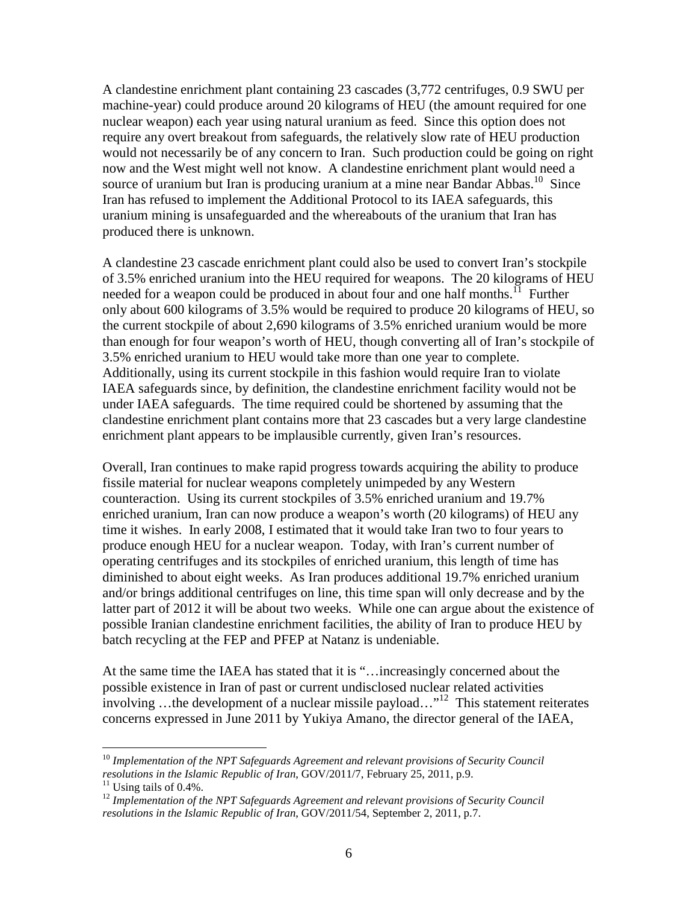A clandestine enrichment plant containing 23 cascades (3,772 centrifuges, 0.9 SWU per machine-year) could produce around 20 kilograms of HEU (the amount required for one nuclear weapon) each year using natural uranium as feed. Since this option does not require any overt breakout from safeguards, the relatively slow rate of HEU production would not necessarily be of any concern to Iran. Such production could be going on right now and the West might well not know. A clandestine enrichment plant would need a source of uranium but Iran is producing uranium at a mine near Bandar Abbas.<sup>10</sup> Since Iran has refused to implement the Additional Protocol to its IAEA safeguards, this uranium mining is unsafeguarded and the whereabouts of the uranium that Iran has produced there is unknown.

A clandestine 23 cascade enrichment plant could also be used to convert Iran's stockpile of 3.5% enriched uranium into the HEU required for weapons. The 20 kilograms of HEU needed for a weapon could be produced in about four and one half months.<sup>11</sup> Further only about 600 kilograms of 3.5% would be required to produce 20 kilograms of HEU, so the current stockpile of about 2,690 kilograms of 3.5% enriched uranium would be more than enough for four weapon's worth of HEU, though converting all of Iran's stockpile of 3.5% enriched uranium to HEU would take more than one year to complete. Additionally, using its current stockpile in this fashion would require Iran to violate IAEA safeguards since, by definition, the clandestine enrichment facility would not be under IAEA safeguards. The time required could be shortened by assuming that the clandestine enrichment plant contains more that 23 cascades but a very large clandestine enrichment plant appears to be implausible currently, given Iran's resources.

Overall, Iran continues to make rapid progress towards acquiring the ability to produce fissile material for nuclear weapons completely unimpeded by any Western counteraction. Using its current stockpiles of 3.5% enriched uranium and 19.7% enriched uranium, Iran can now produce a weapon's worth (20 kilograms) of HEU any time it wishes. In early 2008, I estimated that it would take Iran two to four years to produce enough HEU for a nuclear weapon. Today, with Iran's current number of operating centrifuges and its stockpiles of enriched uranium, this length of time has diminished to about eight weeks. As Iran produces additional 19.7% enriched uranium and/or brings additional centrifuges on line, this time span will only decrease and by the latter part of 2012 it will be about two weeks. While one can argue about the existence of possible Iranian clandestine enrichment facilities, the ability of Iran to produce HEU by batch recycling at the FEP and PFEP at Natanz is undeniable.

At the same time the IAEA has stated that it is "…increasingly concerned about the possible existence in Iran of past or current undisclosed nuclear related activities involving …the development of a nuclear missile payload… $1^{12}$  This statement reiterates concerns expressed in June 2011 by Yukiya Amano, the director general of the IAEA,

<sup>&</sup>lt;sup>10</sup> Implementation of the NPT Safeguards Agreement and relevant provisions of Security Council *resolutions in the Islamic Republic of Iran*, GOV/2011/7, February 25, 2011, p.9.

 $11$  Using tails of 0.4%.

<sup>&</sup>lt;sup>12</sup> Implementation of the NPT Safeguards Agreement and relevant provisions of Security Council *resolutions in the Islamic Republic of Iran*, GOV/2011/54, September 2, 2011, p.7.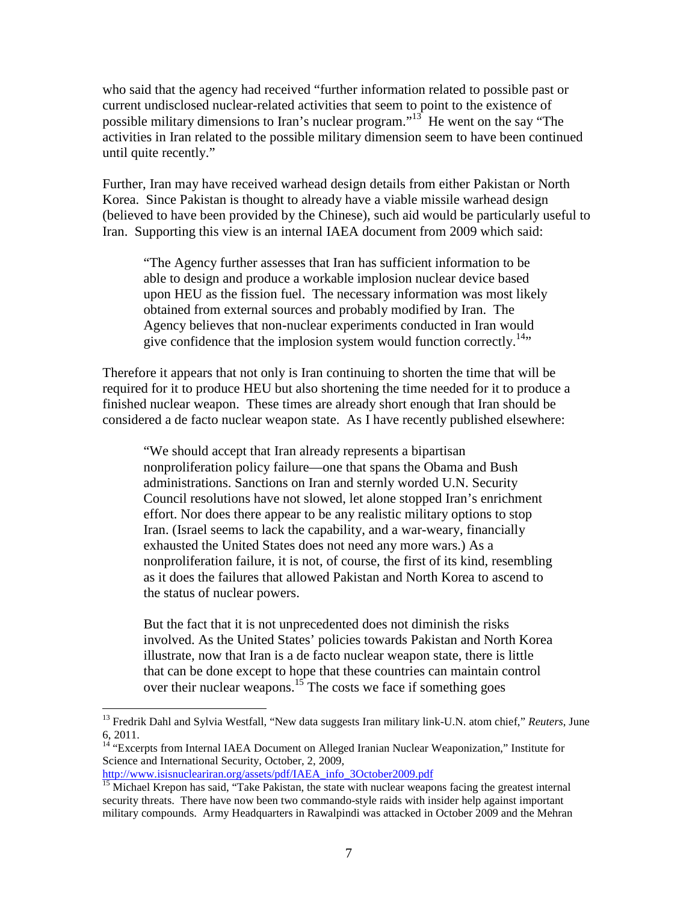who said that the agency had received "further information related to possible past or current undisclosed nuclear-related activities that seem to point to the existence of possible military dimensions to Iran's nuclear program."<sup>13</sup> He went on the say "The activities in Iran related to the possible military dimension seem to have been continued until quite recently."

Further, Iran may have received warhead design details from either Pakistan or North Korea. Since Pakistan is thought to already have a viable missile warhead design (believed to have been provided by the Chinese), such aid would be particularly useful to Iran. Supporting this view is an internal IAEA document from 2009 which said:

"The Agency further assesses that Iran has sufficient information to be able to design and produce a workable implosion nuclear device based upon HEU as the fission fuel. The necessary information was most likely obtained from external sources and probably modified by Iran. The Agency believes that non-nuclear experiments conducted in Iran would give confidence that the implosion system would function correctly.<sup>14</sup>"

Therefore it appears that not only is Iran continuing to shorten the time that will be required for it to produce HEU but also shortening the time needed for it to produce a finished nuclear weapon. These times are already short enough that Iran should be considered a de facto nuclear weapon state. As I have recently published elsewhere:

"We should accept that Iran already represents a bipartisan nonproliferation policy failure—one that spans the Obama and Bush administrations. Sanctions on Iran and sternly worded U.N. Security Council resolutions have not slowed, let alone stopped Iran's enrichment effort. Nor does there appear to be any realistic military options to stop Iran. (Israel seems to lack the capability, and a war-weary, financially exhausted the United States does not need any more wars.) As a nonproliferation failure, it is not, of course, the first of its kind, resembling as it does the failures that allowed Pakistan and North Korea to ascend to the status of nuclear powers.

But the fact that it is not unprecedented does not diminish the risks involved. As the United States' policies towards Pakistan and North Korea illustrate, now that Iran is a de facto nuclear weapon state, there is little that can be done except to hope that these countries can maintain control over their nuclear weapons.<sup>15</sup> The costs we face if something goes

<sup>&</sup>lt;sup>13</sup> Fredrik Dahl and Sylvia Westfall, "New data suggests Iran military link-U.N. atom chief," *Reuters*, June 6, 2011.

<sup>&</sup>lt;sup>14</sup> "Excerpts from Internal IAEA Document on Alleged Iranian Nuclear Weaponization," Institute for Science and International Security, October, 2, 2009, http://www.isisnucleariran.org/assets/pdf/IAEA\_info\_3October2009.pdf

<sup>&</sup>lt;sup>15</sup> Michael Krepon has said, "Take Pakistan, the state with nuclear weapons facing the greatest internal security threats. There have now been two commando-style raids with insider help against important military compounds. Army Headquarters in Rawalpindi was attacked in October 2009 and the Mehran